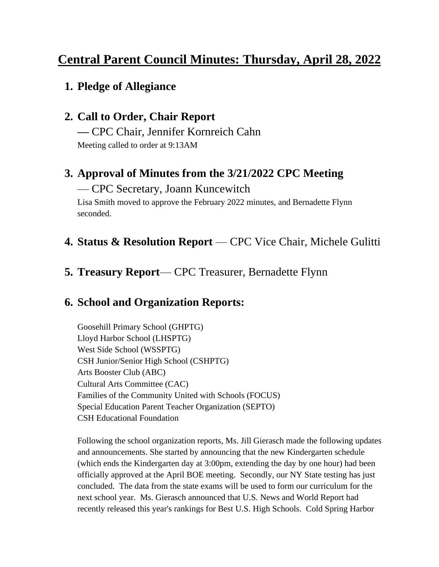# **Central Parent Council Minutes: Thursday, April 28, 2022**

## **1. Pledge of Allegiance**

# **2. Call to Order, Chair Report**

**—** CPC Chair, Jennifer Kornreich Cahn Meeting called to order at 9:13AM

# **3. Approval of Minutes from the 3/21/2022 CPC Meeting**

#### — CPC Secretary, Joann Kuncewitch

Lisa Smith moved to approve the February 2022 minutes, and Bernadette Flynn seconded.

#### **4. Status & Resolution Report** — CPC Vice Chair, Michele Gulitti

#### **5. Treasury Report**— CPC Treasurer, Bernadette Flynn

## **6. School and Organization Reports:**

Goosehill Primary School (GHPTG) Lloyd Harbor School (LHSPTG) West Side School (WSSPTG) CSH Junior/Senior High School (CSHPTG) Arts Booster Club (ABC) Cultural Arts Committee (CAC) Families of the Community United with Schools (FOCUS) Special Education Parent Teacher Organization (SEPTO) CSH Educational Foundation

Following the school organization reports, Ms. Jill Gierasch made the following updates and announcements. She started by announcing that the new Kindergarten schedule (which ends the Kindergarten day at 3:00pm, extending the day by one hour) had been officially approved at the April BOE meeting. Secondly, our NY State testing has just concluded. The data from the state exams will be used to form our curriculum for the next school year. Ms. Gierasch announced that U.S. News and World Report had recently released this year's rankings for Best U.S. High Schools. Cold Spring Harbor